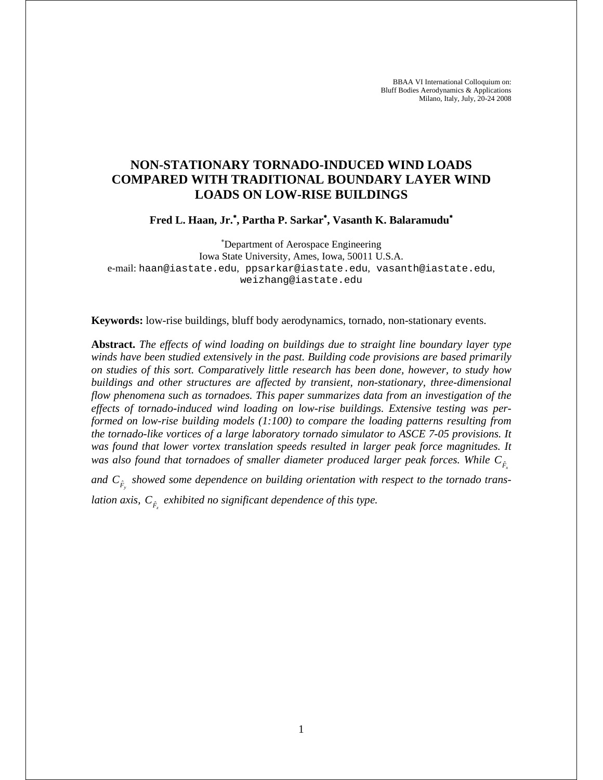BBAA VI International Colloquium on: Bluff Bodies Aerodynamics & Applications Milano, Italy, July, 20-24 2008

# **NON-STATIONARY TORNADO-INDUCED WIND LOADS COMPARED WITH TRADITIONAL BOUNDARY LAYER WIND LOADS ON LOW-RISE BUILDINGS**

**Fred L. Haan, Jr.**<sup>∗</sup> **, Partha P. Sarkar**<sup>∗</sup> **, Vasanth K. Balaramudu**<sup>∗</sup>

∗ Department of Aerospace Engineering Iowa State University, Ames, Iowa, 50011 U.S.A. e-mail: haan@iastate.edu, ppsarkar@iastate.edu, vasanth@iastate.edu, weizhang@iastate.edu

**Keywords:** low-rise buildings, bluff body aerodynamics, tornado, non-stationary events.

**Abstract.** *The effects of wind loading on buildings due to straight line boundary layer type winds have been studied extensively in the past. Building code provisions are based primarily on studies of this sort. Comparatively little research has been done, however, to study how buildings and other structures are affected by transient, non-stationary, three-dimensional flow phenomena such as tornadoes. This paper summarizes data from an investigation of the effects of tornado-induced wind loading on low-rise buildings. Extensive testing was performed on low-rise building models (1:100) to compare the loading patterns resulting from the tornado-like vortices of a large laboratory tornado simulator to ASCE 7-05 provisions. It was found that lower vortex translation speeds resulted in larger peak force magnitudes. It*  was also found that tornadoes of smaller diameter produced larger peak forces. While  $C_{\hat{F}_x}$ 

and  $C_{\hat{F}_y}$  showed some dependence on building orientation with respect to the tornado trans-

*lation axis, Fz C* <sup>ˆ</sup> *exhibited no significant dependence of this type.*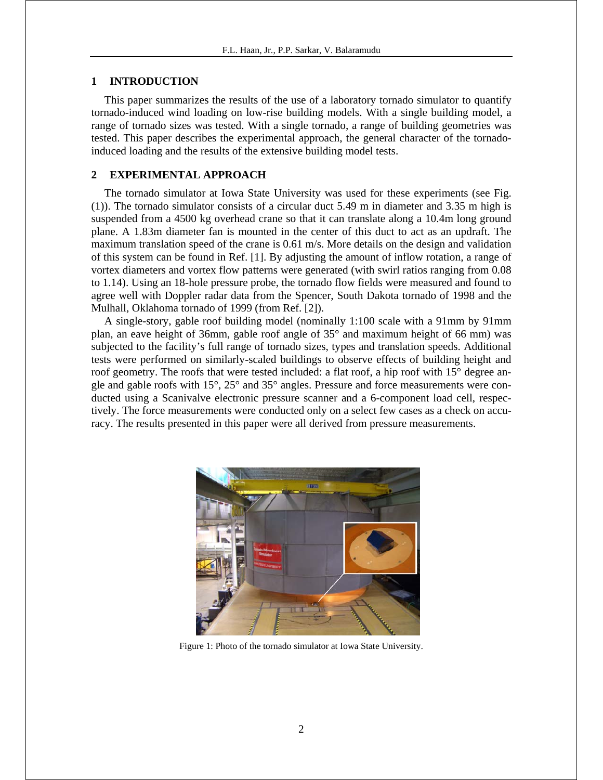# **1 INTRODUCTION**

This paper summarizes the results of the use of a laboratory tornado simulator to quantify tornado-induced wind loading on low-rise building models. With a single building model, a range of tornado sizes was tested. With a single tornado, a range of building geometries was tested. This paper describes the experimental approach, the general character of the tornadoinduced loading and the results of the extensive building model tests.

# **2 EXPERIMENTAL APPROACH**

The tornado simulator at Iowa State University was used for these experiments (see Fig. (1)). The tornado simulator consists of a circular duct 5.49 m in diameter and 3.35 m high is suspended from a 4500 kg overhead crane so that it can translate along a 10.4m long ground plane. A 1.83m diameter fan is mounted in the center of this duct to act as an updraft. The maximum translation speed of the crane is 0.61 m/s. More details on the design and validation of this system can be found in Ref. [1]. By adjusting the amount of inflow rotation, a range of vortex diameters and vortex flow patterns were generated (with swirl ratios ranging from 0.08 to 1.14). Using an 18-hole pressure probe, the tornado flow fields were measured and found to agree well with Doppler radar data from the Spencer, South Dakota tornado of 1998 and the Mulhall, Oklahoma tornado of 1999 (from Ref. [2]).

A single-story, gable roof building model (nominally 1:100 scale with a 91mm by 91mm plan, an eave height of 36mm, gable roof angle of 35° and maximum height of 66 mm) was subjected to the facility's full range of tornado sizes, types and translation speeds. Additional tests were performed on similarly-scaled buildings to observe effects of building height and roof geometry. The roofs that were tested included: a flat roof, a hip roof with 15° degree angle and gable roofs with 15°, 25° and 35° angles. Pressure and force measurements were conducted using a Scanivalve electronic pressure scanner and a 6-component load cell, respectively. The force measurements were conducted only on a select few cases as a check on accuracy. The results presented in this paper were all derived from pressure measurements.



Figure 1: Photo of the tornado simulator at Iowa State University.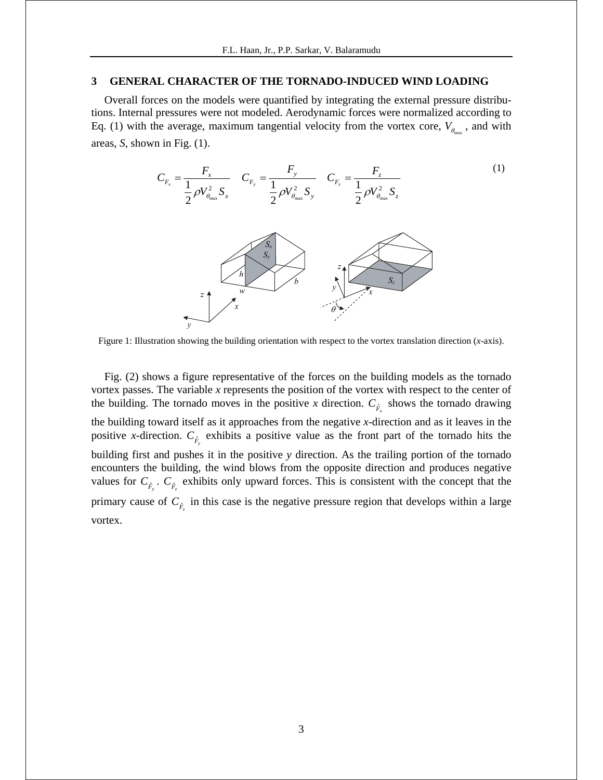### **3 GENERAL CHARACTER OF THE TORNADO-INDUCED WIND LOADING**

Overall forces on the models were quantified by integrating the external pressure distributions. Internal pressures were not modeled. Aerodynamic forces were normalized according to Eq. (1) with the average, maximum tangential velocity from the vortex core,  $V_{\theta_{\text{max}}}$ , and with areas, *S*, shown in Fig. (1).



Figure 1: Illustration showing the building orientation with respect to the vortex translation direction (*x*-axis).

Fig. (2) shows a figure representative of the forces on the building models as the tornado vortex passes. The variable *x* represents the position of the vortex with respect to the center of the building. The tornado moves in the positive *x* direction.  $C_{\hat{F}_x}$  shows the tornado drawing the building toward itself as it approaches from the negative *x*-direction and as it leaves in the positive *x*-direction.  $C_{\hat{F}_y}$  exhibits a positive value as the front part of the tornado hits the building first and pushes it in the positive *y* direction. As the trailing portion of the tornado encounters the building, the wind blows from the opposite direction and produces negative values for  $C_{\hat{F}_y}$ .  $C_{\hat{F}_z}$  exhibits only upward forces. This is consistent with the concept that the primary cause of  $C_{\hat{F}_z}$  in this case is the negative pressure region that develops within a large vortex.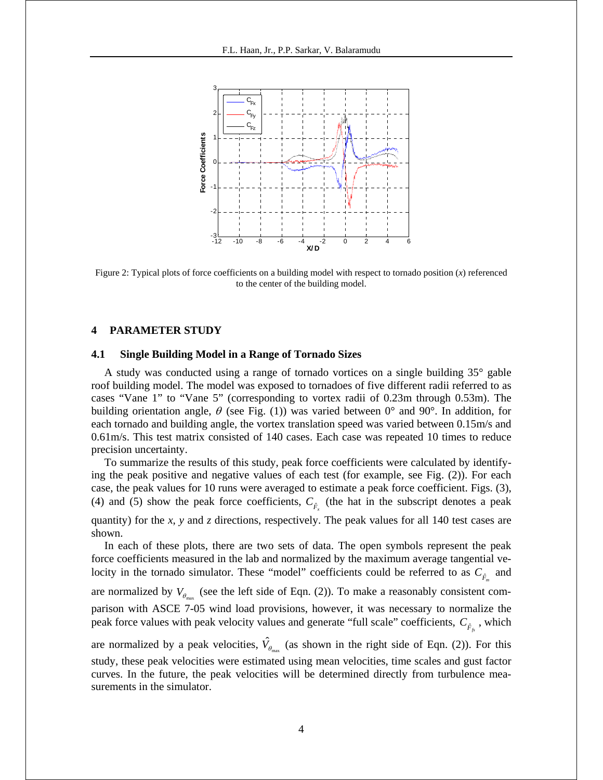

Figure 2: Typical plots of force coefficients on a building model with respect to tornado position (*x*) referenced to the center of the building model.

### **4 PARAMETER STUDY**

#### **4.1 Single Building Model in a Range of Tornado Sizes**

A study was conducted using a range of tornado vortices on a single building 35° gable roof building model. The model was exposed to tornadoes of five different radii referred to as cases "Vane 1" to "Vane 5" (corresponding to vortex radii of 0.23m through 0.53m). The building orientation angle,  $\theta$  (see Fig. (1)) was varied between 0° and 90°. In addition, for each tornado and building angle, the vortex translation speed was varied between 0.15m/s and 0.61m/s. This test matrix consisted of 140 cases. Each case was repeated 10 times to reduce precision uncertainty.

To summarize the results of this study, peak force coefficients were calculated by identifying the peak positive and negative values of each test (for example, see Fig. (2)). For each case, the peak values for 10 runs were averaged to estimate a peak force coefficient. Figs. (3), (4) and (5) show the peak force coefficients,  $C_{\hat{F}_x}$  (the hat in the subscript denotes a peak quantity) for the *x*, *y* and *z* directions, respectively. The peak values for all 140 test cases are shown.

In each of these plots, there are two sets of data. The open symbols represent the peak force coefficients measured in the lab and normalized by the maximum average tangential velocity in the tornado simulator. These "model" coefficients could be referred to as  $C_{\hat{F}_m}$  and are normalized by  $V_{\theta_{\text{max}}}$  (see the left side of Eqn. (2)). To make a reasonably consistent comparison with ASCE 7-05 wind load provisions, however, it was necessary to normalize the peak force values with peak velocity values and generate "full scale" coefficients,  $C_{\hat{F}_{f}}$ , which

are normalized by a peak velocities,  $\hat{V}_{\theta_{\text{max}}}$  (as shown in the right side of Eqn. (2)). For this study, these peak velocities were estimated using mean velocities, time scales and gust factor curves. In the future, the peak velocities will be determined directly from turbulence measurements in the simulator.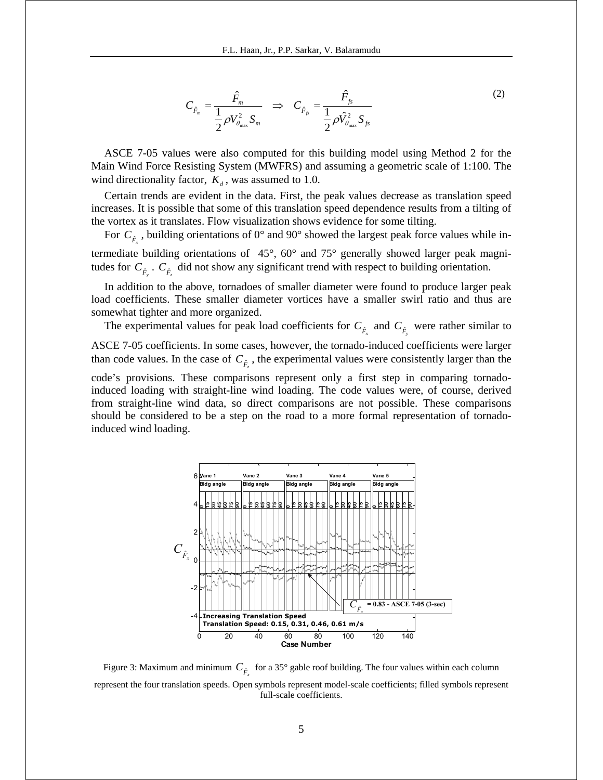$$
C_{\hat{F}_m} = \frac{\hat{F}_m}{\frac{1}{2}\rho V_{\theta_{\text{max}}}^2 S_m} \Rightarrow C_{\hat{F}_{fs}} = \frac{\hat{F}_{fs}}{\frac{1}{2}\rho \hat{V}_{\theta_{\text{max}}}^2 S_{fs}}
$$
(2)

ASCE 7-05 values were also computed for this building model using Method 2 for the Main Wind Force Resisting System (MWFRS) and assuming a geometric scale of 1:100. The wind directionality factor,  $K_d$ , was assumed to 1.0.

Certain trends are evident in the data. First, the peak values decrease as translation speed increases. It is possible that some of this translation speed dependence results from a tilting of the vortex as it translates. Flow visualization shows evidence for some tilting.

For  $C_{\hat{F}_x}$ , building orientations of 0° and 90° showed the largest peak force values while in-

termediate building orientations of 45°, 60° and 75° generally showed larger peak magnitudes for  $C_{\hat{F}_y}$ .  $C_{\hat{F}_z}$  did not show any significant trend with respect to building orientation.

In addition to the above, tornadoes of smaller diameter were found to produce larger peak load coefficients. These smaller diameter vortices have a smaller swirl ratio and thus are somewhat tighter and more organized.

The experimental values for peak load coefficients for  $C_{\hat{F}_x}$  and  $C_{\hat{F}_y}$  were rather similar to ASCE 7-05 coefficients. In some cases, however, the tornado-induced coefficients were larger than code values. In the case of  $C_{\hat{F}_z}$ , the experimental values were consistently larger than the code's provisions. These comparisons represent only a first step in comparing tornadoinduced loading with straight-line wind loading. The code values were, of course, derived from straight-line wind data, so direct comparisons are not possible. These comparisons should be considered to be a step on the road to a more formal representation of tornadoinduced wind loading.



Figure 3: Maximum and minimum  $C_{\hat{F}_x}$  for a 35° gable roof building. The four values within each column represent the four translation speeds. Open symbols represent model-scale coefficients; filled symbols represent full-scale coefficients.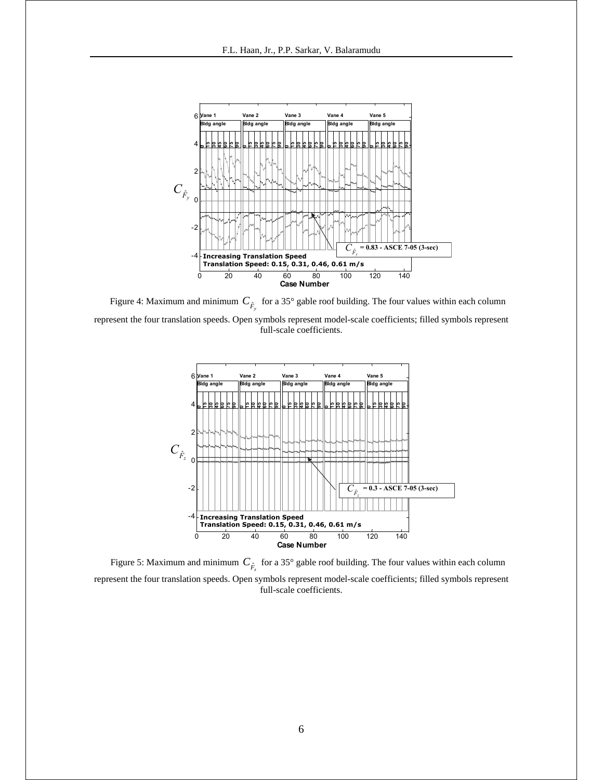

Figure 4: Maximum and minimum  $C_{\hat{F}_y}$  for a 35° gable roof building. The four values within each column represent the four translation speeds. Open symbols represent model-scale coefficients; filled symbols represent full-scale coefficients.



Figure 5: Maximum and minimum  $C_{\hat{F}_z}$  for a 35° gable roof building. The four values within each column represent the four translation speeds. Open symbols represent model-scale coefficients; filled symbols represent full-scale coefficients.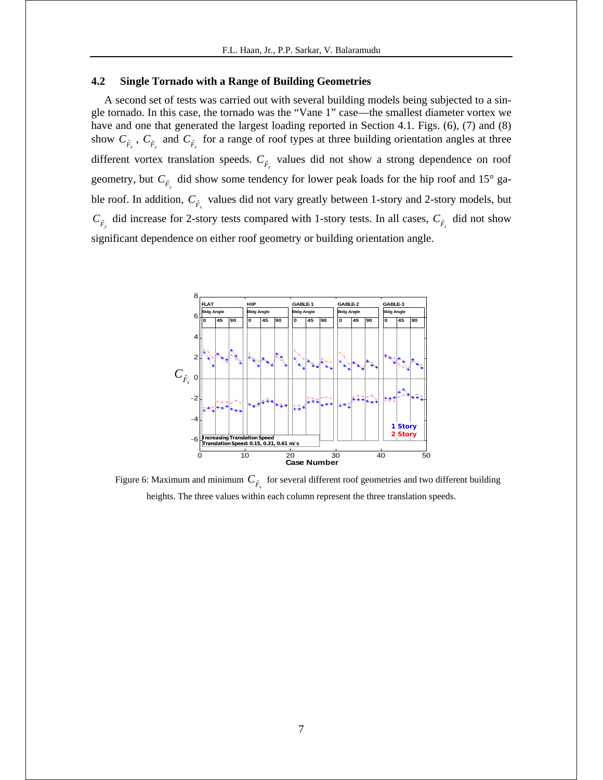### **4.2 Single Tornado with a Range of Building Geometries**

A second set of tests was carried out with several building models being subjected to a single tornado. In this case, the tornado was the "Vane 1" case—the smallest diameter vortex we have and one that generated the largest loading reported in Section 4.1. Figs. (6), (7) and (8) show  $C_{\hat{F}_x}$ ,  $C_{\hat{F}_y}$  and  $C_{\hat{F}_z}$  for a range of roof types at three building orientation angles at three different vortex translation speeds.  $C_{\hat{F}_x}$  values did not show a strong dependence on roof geometry, but  $C_{\hat{F}_y}$  did show some tendency for lower peak loads for the hip roof and 15° gable roof. In addition,  $C_{\hat{F}_x}$  values did not vary greatly between 1-story and 2-story models, but  $C_{\hat{F}_y}$  did increase for 2-story tests compared with 1-story tests. In all cases,  $C_{\hat{F}_z}$  did not show significant dependence on either roof geometry or building orientation angle.



Figure 6: Maximum and minimum  $C_{\hat{F}_x}$  for several different roof geometries and two different building heights. The three values within each column represent the three translation speeds.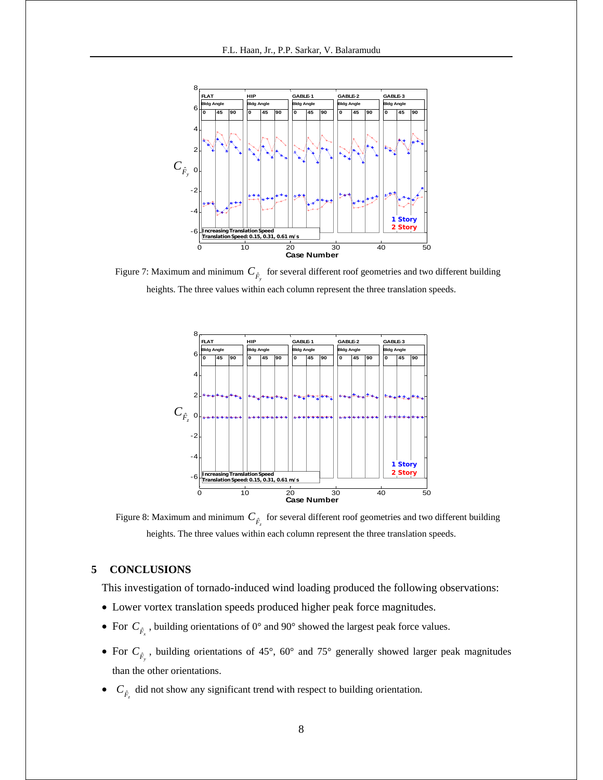

Figure 7: Maximum and minimum  $C_{\hat{F}_y}$  for several different roof geometries and two different building heights. The three values within each column represent the three translation speeds.



Figure 8: Maximum and minimum  $C_{\hat{F}_z}$  for several different roof geometries and two different building heights. The three values within each column represent the three translation speeds.

### **5 CONCLUSIONS**

This investigation of tornado-induced wind loading produced the following observations:

- Lower vortex translation speeds produced higher peak force magnitudes.
- For  $C_{\hat{F}_x}$ , building orientations of 0° and 90° showed the largest peak force values.
- For  $C_{\hat{F}_y}$ , building orientations of 45°, 60° and 75° generally showed larger peak magnitudes than the other orientations.
- $C_{\hat{F}_z}$  did not show any significant trend with respect to building orientation.